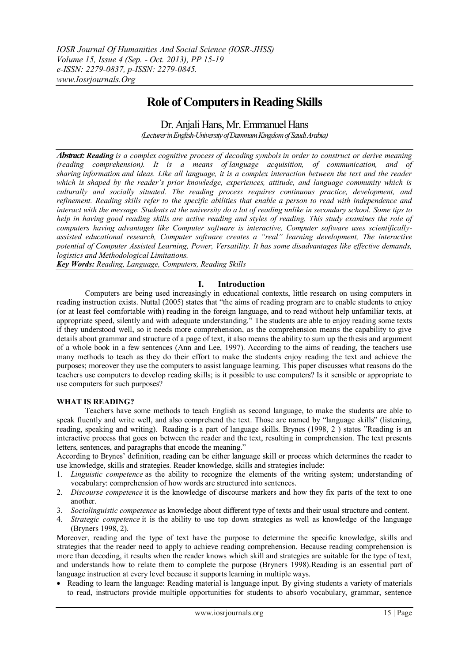## **Role of Computers in Reading Skills**

Dr. Anjali Hans, Mr. Emmanuel Hans *(Lecturer in English-University of DammamKingdom of Saudi Arabia)*

*Abstract: Reading is a complex [cognitive process](http://en.wikipedia.org/wiki/Cognitive_process) of decoding [symbols](http://en.wikipedia.org/wiki/Symbols) in order to construct or derive meaning [\(reading comprehension\)](http://en.wikipedia.org/wiki/Reading_comprehension). It is a means of [language acquisition,](http://en.wikipedia.org/wiki/Language_acquisition) of communication, and of sharing [information](http://en.wikipedia.org/wiki/Information) and ideas. Like all language, it is a complex interaction between the text and the reader which is shaped by the reader's prior knowledge, experiences, attitude, and language community which is culturally and socially situated. The reading process requires continuous practice, development, and refinement. Reading skills refer to the specific abilities that enable a person to read with independence and interact with the message. Students at the university do a lot of reading unlike in secondary school. Some tips to help in having good reading skills are active reading and styles of reading. This study examines the role of computers having advantages like Computer software is interactive, Computer software uses scientificallyassisted educational research, Computer software creates a "real" learning development, The interactive potential of Computer Assisted Learning, Power, Versatility. It has some disadvantages like effective demands, logistics and Methodological Limitations.* 

*Key Words: Reading, Language, Computers, Reading Skills*

## **I. Introduction**

Computers are being used increasingly in educational contexts, little research on using computers in reading instruction exists. Nuttal (2005) states that "the aims of reading program are to enable students to enjoy (or at least feel comfortable with) reading in the foreign language, and to read without help unfamiliar texts, at appropriate speed, silently and with adequate understanding." The students are able to enjoy reading some texts if they understood well, so it needs more comprehension, as the comprehension means the capability to give details about grammar and structure of a page of text, it also means the ability to sum up the thesis and argument of a whole book in a few sentences (Ann and Lee, 1997). According to the aims of reading, the teachers use many methods to teach as they do their effort to make the students enjoy reading the text and achieve the purposes; moreover they use the computers to assist language learning. This paper discusses what reasons do the teachers use computers to develop reading skills; is it possible to use computers? Is it sensible or appropriate to use computers for such purposes?

## **WHAT IS READING?**

Teachers have some methods to teach English as second language, to make the students are able to speak fluently and write well, and also comprehend the text. Those are named by "language skills" (listening, reading, speaking and writing). Reading is a part of language skills. Brynes (1998, 2 ) states "Reading is an interactive process that goes on between the reader and the text, resulting in comprehension. The text presents letters, sentences, and paragraphs that encode the meaning."

According to Brynes" definition, reading can be either language skill or process which determines the reader to use knowledge, skills and strategies. Reader knowledge, skills and strategies include:

- 1. *Linguistic competence* as the ability to recognize the elements of the writing system; understanding of vocabulary: comprehension of how words are structured into sentences.
- 2. *Discourse competence* it is the knowledge of discourse markers and how they fix parts of the text to one another.
- 3. *Sociolinguistic competence* as knowledge about different type of texts and their usual structure and content.
- 4. *Strategic competence* it is the ability to use top down strategies as well as knowledge of the language (Bryners 1998, 2).

Moreover, reading and the type of text have the purpose to determine the specific knowledge, skills and strategies that the reader need to apply to achieve reading comprehension. Because reading comprehension is more than decoding, it results when the reader knows which skill and strategies are suitable for the type of text, and understands how to relate them to complete the purpose (Bryners 1998).Reading is an essential part of language instruction at every level because it supports learning in multiple ways.

• Reading to learn the language: Reading material is language input. By giving students a variety of materials to read, instructors provide multiple opportunities for students to absorb vocabulary, grammar, sentence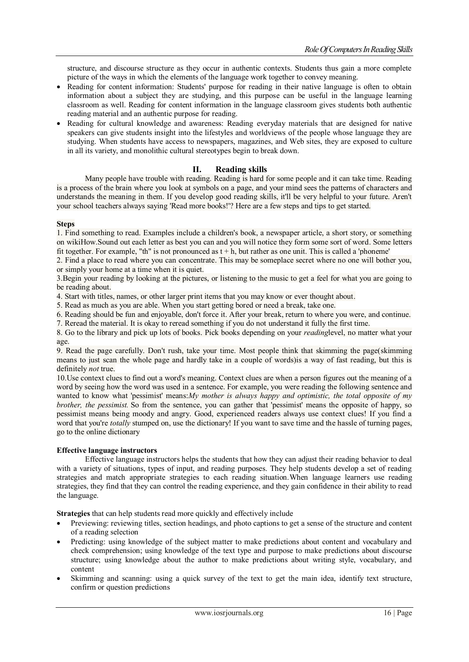structure, and discourse structure as they occur in authentic contexts. Students thus gain a more complete picture of the ways in which the elements of the language work together to convey meaning.

- Reading for content information: Students' purpose for reading in their native language is often to obtain information about a subject they are studying, and this purpose can be useful in the language learning classroom as well. Reading for content information in the language classroom gives students both authentic reading material and an authentic purpose for reading.
- Reading for cultural knowledge and awareness: Reading everyday materials that are designed for native speakers can give students insight into the lifestyles and worldviews of the people whose language they are studying. When students have access to newspapers, magazines, and Web sites, they are exposed to culture in all its variety, and monolithic cultural stereotypes begin to break down.

## **II. Reading skills**

Many people have trouble with reading. Reading is hard for some people and it can take time. Reading is a process of the brain where you look at symbols on a page, and your mind sees the patterns of characters and understands the meaning in them. If you develop good reading skills, it'll be very helpful to your future. Aren't your school teachers always saying 'Read more books!'? Here are a few steps and tips to get started.

#### **Steps**

1. Find something to read. Examples include a children's book, a newspaper article, a short story, or something on wikiHow.Sound out each letter as best you can and you will notice they form some sort of word. Some letters fit together. For example, "th" is not pronounced as  $t + h$ , but rather as one unit. This is called a 'phoneme'

2. Find a place to read where you can concentrate. This may be someplace secret where no one will bother you, or simply your home at a time when it is quiet.

3.Begin your reading by looking at the pictures, or listening to the music to get a feel for what you are going to be reading about.

4. Start with titles, names, or other larger print items that you may know or ever thought about.

5. Read as much as you are able. When you start getting bored or need a break, take one.

6. Reading should be fun and enjoyable, don't force it. After your break, return to where you were, and continue.

7. Reread the material. It is okay to reread something if you do not understand it fully the first time.

8. Go to the library and pick up lots of books. Pick books depending on your *reading*level, no matter what your age.

9. Read the page carefully. Don't rush, take your time. Most people think that skimming the page(skimming means to just scan the whole page and hardly take in a couple of words)is a way of fast reading, but this is definitely *not* true.

10.Use context clues to find out a word's meaning. Context clues are when a person figures out the meaning of a word by seeing how the word was used in a sentence. For example, you were reading the following sentence and wanted to know what 'pessimist' means:*My mother is always happy and optimistic, the total opposite of my brother, the pessimist*. So from the sentence, you can gather that 'pessimist' means the opposite of happy, so pessimist means being moody and angry. Good, experienced readers always use context clues! If you find a word that you're *totally* stumped on, use the dictionary! If you want to save time and the hassle of turning pages, go to the [online dictionary](http://dictionary.com/)

#### **Effective language instructors**

Effective language instructors helps the students that how they can adjust their reading behavior to deal with a variety of situations, types of input, and reading purposes. They help students develop a set of reading strategies and match appropriate strategies to each reading situation.When language learners use reading strategies, they find that they can control the reading experience, and they gain confidence in their ability to read the language.

**Strategies** that can help students read more quickly and effectively include

- Previewing: reviewing titles, section headings, and photo captions to get a sense of the structure and content of a reading selection
- Predicting: using knowledge of the subject matter to make predictions about content and vocabulary and check comprehension; using knowledge of the text type and purpose to make predictions about discourse structure; using knowledge about the author to make predictions about writing style, vocabulary, and content
- Skimming and scanning: using a quick survey of the text to get the main idea, identify text structure, confirm or question predictions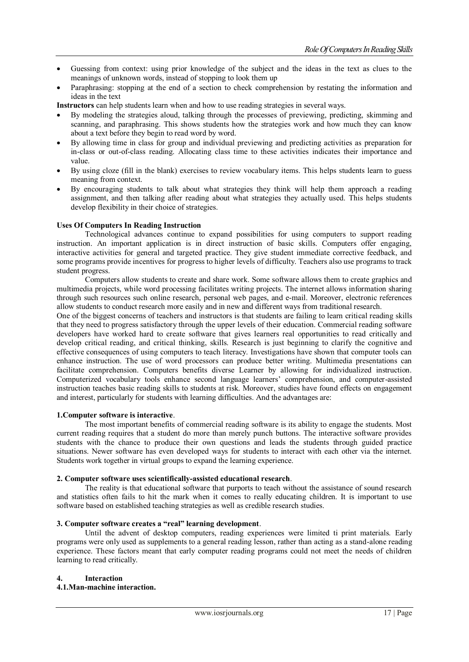- Guessing from context: using prior knowledge of the subject and the ideas in the text as clues to the meanings of unknown words, instead of stopping to look them up
- Paraphrasing: stopping at the end of a section to check comprehension by restating the information and ideas in the text

**Instructors** can help students learn when and how to use reading strategies in several ways.

- By modeling the strategies aloud, talking through the processes of previewing, predicting, skimming and scanning, and paraphrasing. This shows students how the strategies work and how much they can know about a text before they begin to read word by word.
- By allowing time in class for group and individual previewing and predicting activities as preparation for in-class or out-of-class reading. Allocating class time to these activities indicates their importance and value.
- By using cloze (fill in the blank) exercises to review vocabulary items. This helps students learn to guess meaning from context.
- By encouraging students to talk about what strategies they think will help them approach a reading assignment, and then talking after reading about what strategies they actually used. This helps students develop flexibility in their choice of strategies.

#### **Uses Of Computers In Reading Instruction**

Technological advances continue to expand possibilities for using computers to support reading instruction. An important application is in direct instruction of basic skills. Computers offer engaging, interactive activities for general and targeted practice. They give student immediate corrective feedback, and some programs provide incentives for progress to higher levels of difficulty. Teachers also use programs to track student progress.

Computers allow students to create and share work. Some software allows them to create graphics and multimedia projects, while word processing facilitates writing projects. The internet allows information sharing through such resources such online research, personal web pages, and e-mail. Moreover, electronic references allow students to conduct research more easily and in new and different ways from traditional research.

One of the biggest concerns of teachers and instructors is that students are failing to learn critical reading skills that they need to progress satisfactory through the upper levels of their education. Commercial reading software developers have worked hard to create software that gives learners real opportunities to read critically and develop critical reading, and critical thinking, skills. Research is just beginning to clarify the cognitive and effective consequences of using computers to teach literacy. Investigations have shown that computer tools can enhance instruction. The use of word processors can produce better writing. Multimedia presentations can facilitate comprehension. Computers benefits diverse Learner by allowing for individualized instruction. Computerized vocabulary tools enhance second language learners" comprehension, and computer-assisted instruction teaches basic reading skills to students at risk. Moreover, studies have found effects on engagement and interest, particularly for students with learning difficulties. And the advantages are:

#### **1.Computer software is interactive**.

The most important benefits of commercial reading software is its ability to engage the students. Most current reading requires that a student do more than merely punch buttons. The interactive software provides students with the chance to produce their own questions and leads the students through guided practice situations. Newer software has even developed ways for students to interact with each other via the internet. Students work together in virtual groups to expand the learning experience.

#### **2. Computer software uses scientifically-assisted educational research**.

The reality is that educational software that purports to teach without the assistance of sound research and statistics often fails to hit the mark when it comes to really educating children. It is important to use software based on established teaching strategies as well as credible research studies.

#### **3. Computer software creates a "real" learning development**.

Until the advent of desktop computers, reading experiences were limited ti print materials. Early programs were only used as supplements to a general reading lesson, rather than acting as a stand-alone reading experience. These factors meant that early computer reading programs could not meet the needs of children learning to read critically.

#### **4. Interaction 4.1.Man-machine interaction.**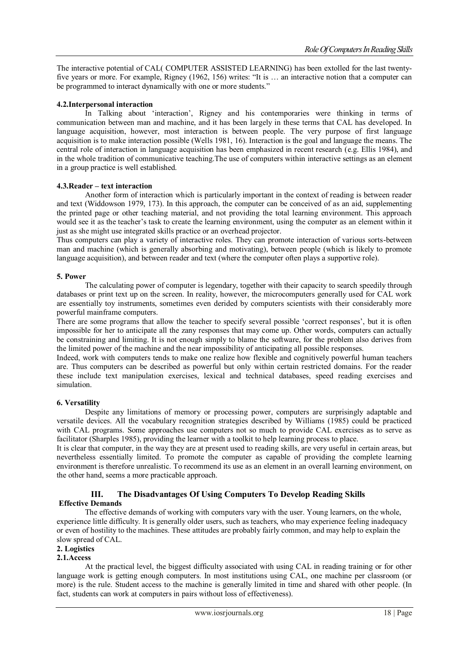The interactive potential of CAL( COMPUTER ASSISTED LEARNING) has been extolled for the last twentyfive years or more. For example, Rigney (1962, 156) writes: "It is … an interactive notion that a computer can be programmed to interact dynamically with one or more students."

## **4.2.Interpersonal interaction**

In Talking about "interaction", Rigney and his contemporaries were thinking in terms of communication between man and machine, and it has been largely in these terms that CAL has developed. In language acquisition, however, most interaction is between people. The very purpose of first language acquisition is to make interaction possible (Wells 1981, 16). Interaction is the goal and language the means. The central role of interaction in language acquisition has been emphasized in recent research (e.g. Ellis 1984), and in the whole tradition of communicative teaching.The use of computers within interactive settings as an element in a group practice is well established.

#### **4.3.Reader – text interaction**

Another form of interaction which is particularly important in the context of reading is between reader and text (Widdowson 1979, 173). In this approach, the computer can be conceived of as an aid, supplementing the printed page or other teaching material, and not providing the total learning environment. This approach would see it as the teacher's task to create the learning environment, using the computer as an element within it just as she might use integrated skills practice or an overhead projector.

Thus computers can play a variety of interactive roles. They can promote interaction of various sorts-between man and machine (which is generally absorbing and motivating), between people (which is likely to promote language acquisition), and between reader and text (where the computer often plays a supportive role).

#### **5. Power**

The calculating power of computer is legendary, together with their capacity to search speedily through databases or print text up on the screen. In reality, however, the microcomputers generally used for CAL work are essentially toy instruments, sometimes even derided by computers scientists with their considerably more powerful mainframe computers.

There are some programs that allow the teacher to specify several possible 'correct responses', but it is often impossible for her to anticipate all the zany responses that may come up. Other words, computers can actually be constraining and limiting. It is not enough simply to blame the software, for the problem also derives from the limited power of the machine and the near impossibility of anticipating all possible responses.

Indeed, work with computers tends to make one realize how flexible and cognitively powerful human teachers are. Thus computers can be described as powerful but only within certain restricted domains. For the reader these include text manipulation exercises, lexical and technical databases, speed reading exercises and simulation.

#### **6. Versatility**

Despite any limitations of memory or processing power, computers are surprisingly adaptable and versatile devices. All the vocabulary recognition strategies described by Williams (1985) could be practiced with CAL programs. Some approaches use computers not so much to provide CAL exercises as to serve as facilitator (Sharples 1985), providing the learner with a toolkit to help learning process to place.

It is clear that computer, in the way they are at present used to reading skills, are very useful in certain areas, but nevertheless essentially limited. To promote the computer as capable of providing the complete learning environment is therefore unrealistic. To recommend its use as an element in an overall learning environment, on the other hand, seems a more practicable approach.

## **III. The Disadvantages Of Using Computers To Develop Reading Skills Effective Demands**

The effective demands of working with computers vary with the user. Young learners, on the whole, experience little difficulty. It is generally older users, such as teachers, who may experience feeling inadequacy or even of hostility to the machines. These attitudes are probably fairly common, and may help to explain the slow spread of CAL.

## **2. Logistics**

## **2.1.Access**

At the practical level, the biggest difficulty associated with using CAL in reading training or for other language work is getting enough computers. In most institutions using CAL, one machine per classroom (or more) is the rule. Student access to the machine is generally limited in time and shared with other people. (In fact, students can work at computers in pairs without loss of effectiveness).